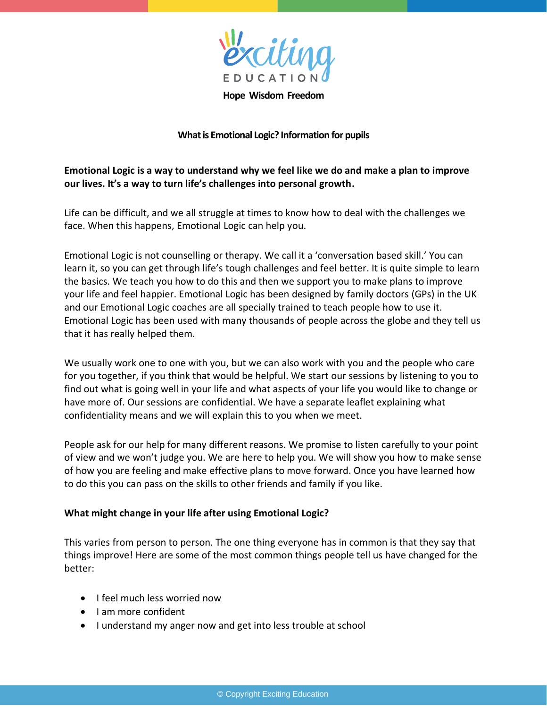

**Hope Wisdom Freedom**

## **What is Emotional Logic? Information for pupils**

**Emotional Logic is a way to understand why we feel like we do and make a plan to improve our lives. It's a way to turn life's challenges into personal growth.**

Life can be difficult, and we all struggle at times to know how to deal with the challenges we face. When this happens, Emotional Logic can help you.

Emotional Logic is not counselling or therapy. We call it a 'conversation based skill.' You can learn it, so you can get through life's tough challenges and feel better. It is quite simple to learn the basics. We teach you how to do this and then we support you to make plans to improve your life and feel happier. Emotional Logic has been designed by family doctors (GPs) in the UK and our Emotional Logic coaches are all specially trained to teach people how to use it. Emotional Logic has been used with many thousands of people across the globe and they tell us that it has really helped them.

We usually work one to one with you, but we can also work with you and the people who care for you together, if you think that would be helpful. We start our sessions by listening to you to find out what is going well in your life and what aspects of your life you would like to change or have more of. Our sessions are confidential. We have a separate leaflet explaining what confidentiality means and we will explain this to you when we meet.

People ask for our help for many different reasons. We promise to listen carefully to your point of view and we won't judge you. We are here to help you. We will show you how to make sense of how you are feeling and make effective plans to move forward. Once you have learned how to do this you can pass on the skills to other friends and family if you like.

## **What might change in your life after using Emotional Logic?**

This varies from person to person. The one thing everyone has in common is that they say that things improve! Here are some of the most common things people tell us have changed for the better:

- I feel much less worried now
- I am more confident
- I understand my anger now and get into less trouble at school